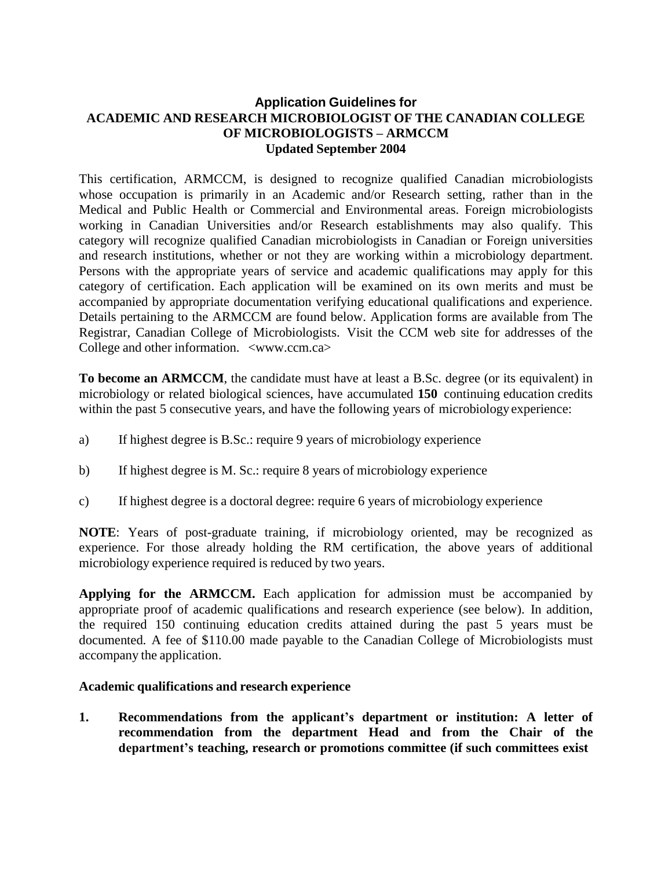## **Application Guidelines for ACADEMIC AND RESEARCH MICROBIOLOGIST OF THE CANADIAN COLLEGE OF MICROBIOLOGISTS – ARMCCM Updated September 2004**

This certification, ARMCCM, is designed to recognize qualified Canadian microbiologists whose occupation is primarily in an Academic and/or Research setting, rather than in the Medical and Public Health or Commercial and Environmental areas. Foreign microbiologists working in Canadian Universities and/or Research establishments may also qualify. This category will recognize qualified Canadian microbiologists in Canadian or Foreign universities and research institutions, whether or not they are working within a microbiology department. Persons with the appropriate years of service and academic qualifications may apply for this category of certification. Each application will be examined on its own merits and must be accompanied by appropriate documentation verifying educational qualifications and experience. Details pertaining to the ARMCCM are found below. Application forms are available from The Registrar, Canadian College of Microbiologists. Visit the CCM web site for addresses of the College and other information. [<www.ccm.ca>](http://www.ccm.ca/)

**To become an ARMCCM**, the candidate must have at least a B.Sc. degree (or its equivalent) in microbiology or related biological sciences, have accumulated **150** continuing education credits within the past 5 consecutive years, and have the following years of microbiology experience:

- a) If highest degree is B.Sc.: require 9 years of microbiology experience
- b) If highest degree is M. Sc.: require 8 years of microbiology experience
- c) If highest degree is a doctoral degree: require 6 years of microbiology experience

**NOTE**: Years of post-graduate training, if microbiology oriented, may be recognized as experience. For those already holding the RM certification, the above years of additional microbiology experience required is reduced by two years.

**Applying for the ARMCCM.** Each application for admission must be accompanied by appropriate proof of academic qualifications and research experience (see below). In addition, the required 150 continuing education credits attained during the past 5 years must be documented. A fee of \$110.00 made payable to the Canadian College of Microbiologists must accompany the application.

## **Academic qualifications and research experience**

**1. Recommendations from the applicant's department or institution: A letter of recommendation from the department Head and from the Chair of the department's teaching, research or promotions committee (if such committees exist**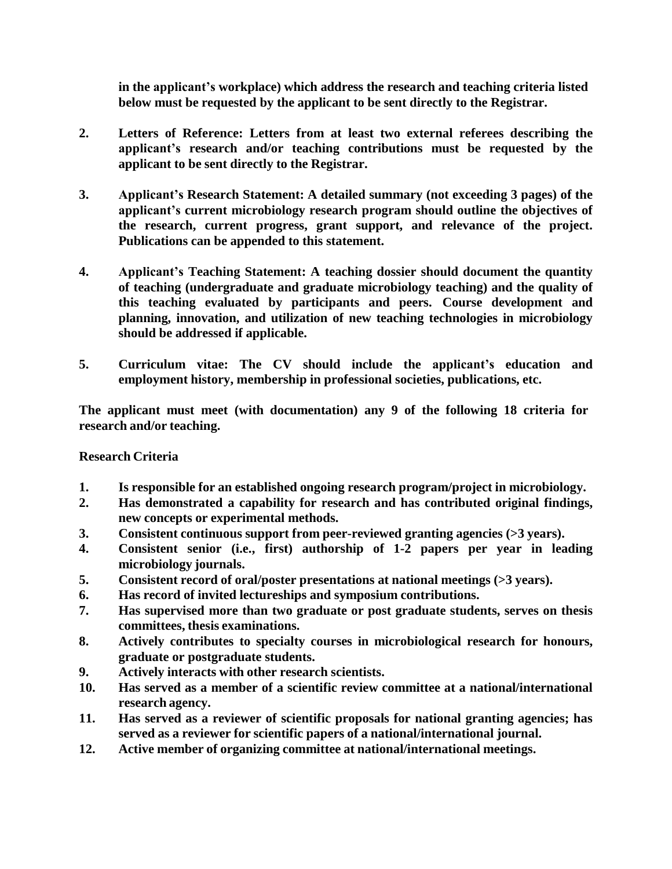**in the applicant's workplace) which address the research and teaching criteria listed below must be requested by the applicant to be sent directly to the Registrar.**

- **2. Letters of Reference: Letters from at least two external referees describing the applicant's research and/or teaching contributions must be requested by the applicant to be sent directly to the Registrar.**
- **3. Applicant's Research Statement: A detailed summary (not exceeding 3 pages) of the applicant's current microbiology research program should outline the objectives of the research, current progress, grant support, and relevance of the project. Publications can be appended to this statement.**
- **4. Applicant's Teaching Statement: A teaching dossier should document the quantity of teaching (undergraduate and graduate microbiology teaching) and the quality of this teaching evaluated by participants and peers. Course development and planning, innovation, and utilization of new teaching technologies in microbiology should be addressed if applicable.**
- **5. Curriculum vitae: The CV should include the applicant's education and employment history, membership in professional societies, publications, etc.**

**The applicant must meet (with documentation) any 9 of the following 18 criteria for research and/or teaching.**

## **Research Criteria**

- **1. Is responsible for an established ongoing research program/project in microbiology.**
- **2. Has demonstrated a capability for research and has contributed original findings, new concepts or experimental methods.**
- **3. Consistent continuous support from peer-reviewed granting agencies (>3 years).**
- **4. Consistent senior (i.e., first) authorship of 1-2 papers per year in leading microbiology journals.**
- **5. Consistent record of oral/poster presentations at national meetings (>3 years).**
- **6. Has record of invited lectureships and symposium contributions.**
- **7. Has supervised more than two graduate or post graduate students, serves on thesis committees, thesis examinations.**
- **8. Actively contributes to specialty courses in microbiological research for honours, graduate or postgraduate students.**
- **9. Actively interacts with other research scientists.**
- **10. Has served as a member of a scientific review committee at a national/international research agency.**
- **11. Has served as a reviewer of scientific proposals for national granting agencies; has served as a reviewer for scientific papers of a national/international journal.**
- **12. Active member of organizing committee at national/international meetings.**